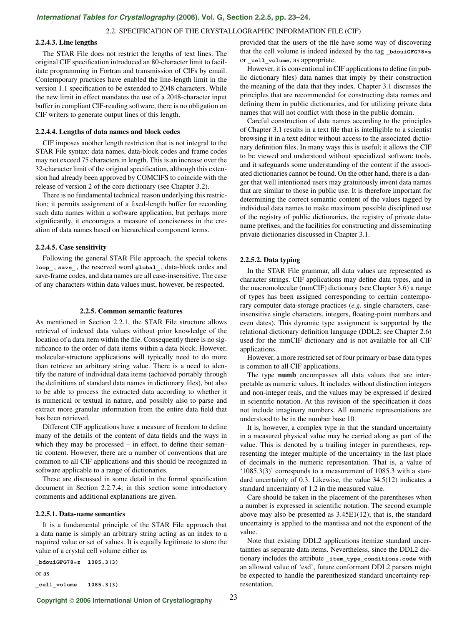## 2.2. SPECIFICATION OF THE CRYSTALLOGRAPHIC INFORMATION FILE (CIF)

# **2.2.4.3. Line lengths**

The STAR File does not restrict the lengths of text lines. The original CIF specification introduced an 80-character limit to facilitate programming in Fortran and transmission of CIFs by email. Contemporary practices have enabled the line-length limit in the version 1.1 specification to be extended to 2048 characters. While the new limit in effect mandates the use of a 2048-character input buffer in compliant CIF-reading software, there is no obligation on CIF writers to generate output lines of this length.

## **2.2.4.4. Lengths of data names and block codes**

CIF imposes another length restriction that is not integral to the STAR File syntax: data names, data-block codes and frame codes may not exceed 75 characters in length. This is an increase over the 32-character limit of the original specification, although this extension had already been approved by COMCIFS to coincide with the release of version 2 of the core dictionary (see Chapter 3.2).

There is no fundamental technical reason underlying this restriction; it permits assignment of a fixed-length buffer for recording such data names within a software application, but perhaps more significantly, it encourages a measure of conciseness in the creation of data names based on hierarchical component terms.

## **2.2.4.5. Case sensitivity**

Following the general STAR File approach, the special tokens **loop\_** , **save\_** , the reserved word **global\_** , data-block codes and save-frame codes, and data names are all case-insensitive. The case of any characters within data values must, however, be respected.

#### **2.2.5. Common semantic features**

As mentioned in Section 2.2.1, the STAR File structure allows retrieval of indexed data values without prior knowledge of the location of a data item within the file. Consequently there is no significance to the order of data items within a data block. However, molecular-structure applications will typically need to do more than retrieve an arbitrary string value. There is a need to identify the nature of individual data items (achieved portably through the definitions of standard data names in dictionary files), but also to be able to process the extracted data according to whether it is numerical or textual in nature, and possibly also to parse and extract more granular information from the entire data field that has been retrieved.

Different CIF applications have a measure of freedom to define many of the details of the content of data fields and the ways in which they may be processed – in effect, to define their semantic content. However, there are a number of conventions that are common to all CIF applications and this should be recognized in software applicable to a range of dictionaries.

These are discussed in some detail in the formal specification document in Section 2.2.7.4; in this section some introductory comments and additional explanations are given.

#### **2.2.5.1. Data-name semantics**

It is a fundamental principle of the STAR File approach that a data name is simply an arbitrary string acting as an index to a required value or set of values. It is equally legitimate to store the value of a crystal cell volume either as

**\_bdouiGFG78=z 1085.3(3)** or as **\_cell\_volume 1085.3(3)** provided that the users of the file have some way of discovering that the cell volume is indeed indexed by the tag **bdouiGFG78=z** or **\_cell\_volume**, as appropriate.

However, it is conventional in CIF applications to define (in public dictionary files) data names that imply by their construction the meaning of the data that they index. Chapter 3.1 discusses the principles that are recommended for constructing data names and defining them in public dictionaries, and for utilizing private data names that will not conflict with those in the public domain.

Careful construction of data names according to the principles of Chapter 3.1 results in a text file that is intelligible to a scientist browsing it in a text editor without access to the associated dictionary definition files. In many ways this is useful; it allows the CIF to be viewed and understood without specialized software tools, and it safeguards some understanding of the content if the associated dictionaries cannot be found. On the other hand, there is a danger that well intentioned users may gratuitously invent data names that are similar to those in public use. It is therefore important for determining the correct semantic content of the values tagged by individual data names to make maximum possible disciplined use of the registry of public dictionaries, the registry of private dataname prefixes, and the facilities for constructing and disseminating private dictionaries discussed in Chapter 3.1.

#### **2.2.5.2. Data typing**

In the STAR File grammar, all data values are represented as character strings. CIF applications may define data types, and in the macromolecular (mmCIF) dictionary (see Chapter 3.6) a range of types has been assigned corresponding to certain contemporary computer data-storage practices (*e.g.* single characters, caseinsensitive single characters, integers, floating-point numbers and even dates). This dynamic type assignment is supported by the relational dictionary definition language (DDL2; see Chapter 2.6) used for the mmCIF dictionary and is not available for all CIF applications.

However, a more restricted set of four primary or base data types is common to all CIF applications.

The type **numb** encompasses all data values that are interpretable as numeric values. It includes without distinction integers and non-integer reals, and the values may be expressed if desired in scientific notation. At this revision of the specification it does not include imaginary numbers. All numeric representations are understood to be in the number base 10.

It is, however, a complex type in that the standard uncertainty in a measured physical value may be carried along as part of the value. This is denoted by a trailing integer in parentheses, representing the integer multiple of the uncertainty in the last place of decimals in the numeric representation. That is, a value of '1085.3(3)' corresponds to a measurement of 1085.3 with a standard uncertainty of 0.3. Likewise, the value 34.5(12) indicates a standard uncertainty of 1.2 in the measured value.

Care should be taken in the placement of the parentheses when a number is expressed in scientific notation. The second example above may also be presented as 3.45E1(12); that is, the standard uncertainty is applied to the mantissa and not the exponent of the value.

Note that existing DDL2 applications itemize standard uncertainties as separate data items. Nevertheless, since the DDL2 dictionary includes the attribute **\_item\_type\_conditions.code** with an allowed value of 'esd', future conformant DDL2 parsers might be expected to handle the parenthesized standard uncertainty representation.